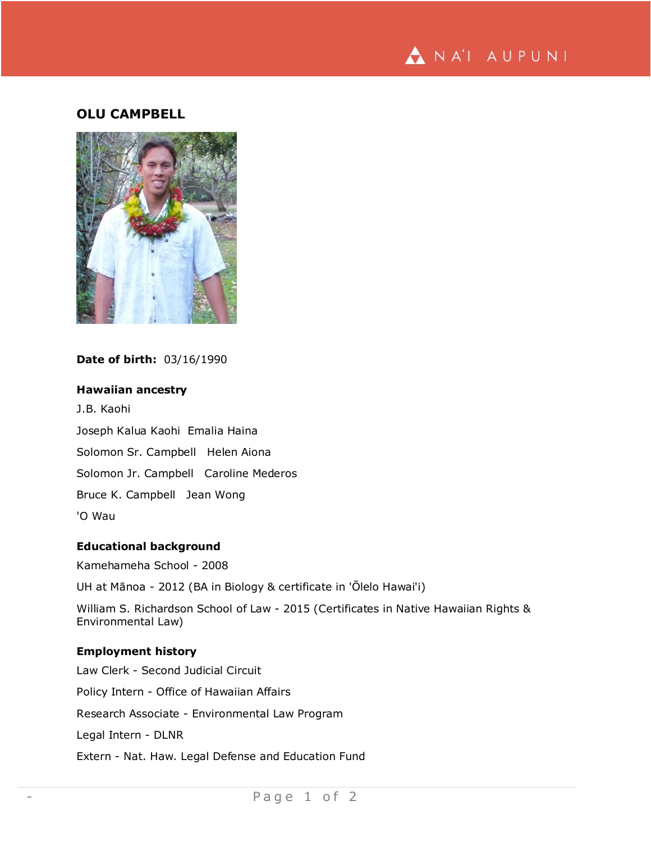

# **OLU CAMPBELL**



## **Date of birth:** 03/16/1990

## **Hawaiian ancestry**

J.B. Kaohi Joseph Kalua Kaohi Emalia Haina Solomon Sr. Campbell Helen Aiona Solomon Jr. Campbell Caroline Mederos Bruce K. Campbell Jean Wong 'O Wau

### **Educational background**

Kamehameha School - 2008

UH at Mānoa - 2012 (BA in Biology & certificate in 'Ōlelo Hawai'i)

William S. Richardson School of Law - 2015 (Certificates in Native Hawaiian Rights & Environmental Law)

## **Employment history**

Law Clerk - Second Judicial Circuit Policy Intern - Office of Hawaiian Affairs Research Associate - Environmental Law Program Legal Intern - DLNR Extern - Nat. Haw. Legal Defense and Education Fund